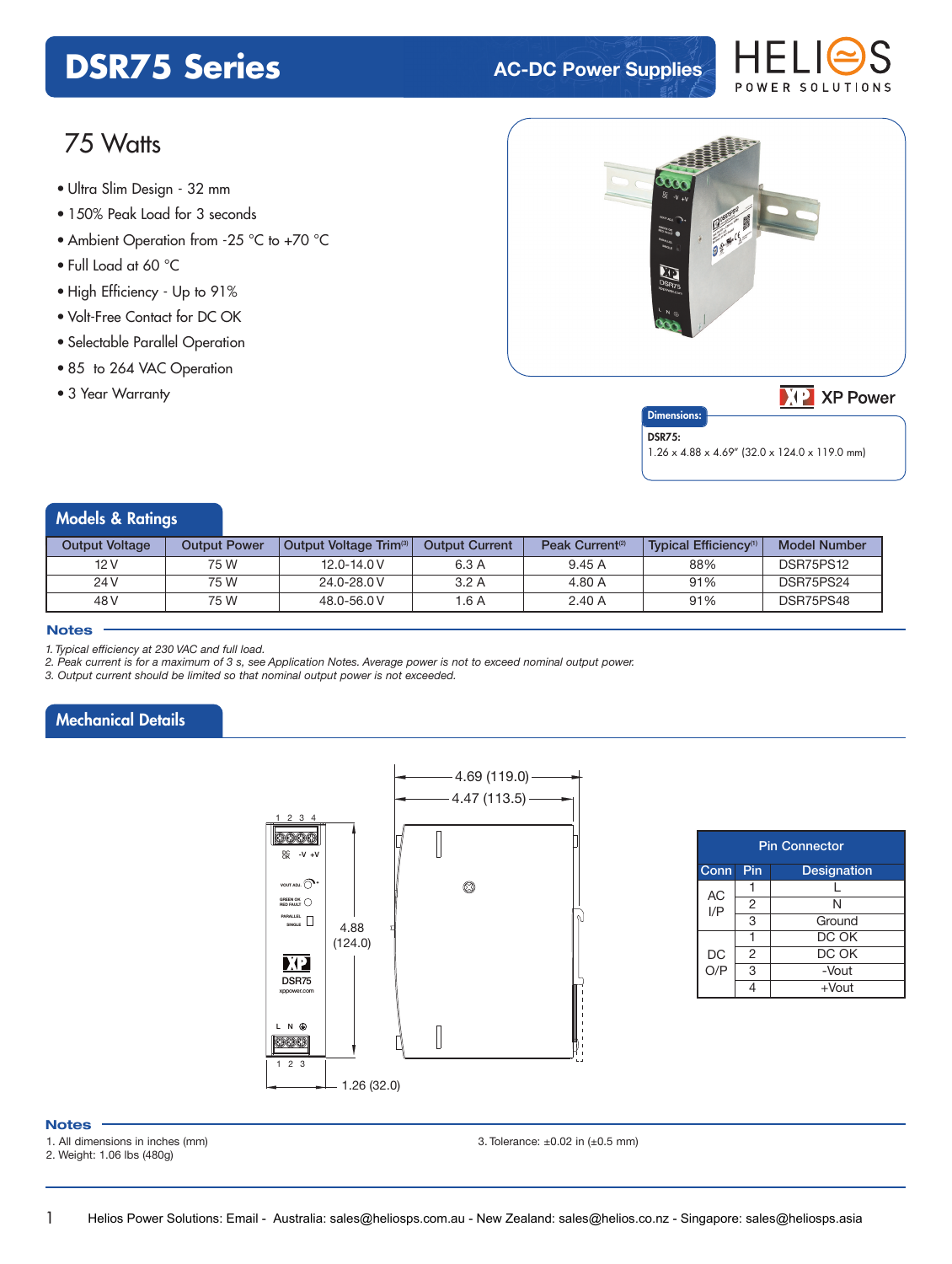# **DSR75 Series AC-DC Power Supplies**



# 75 Watts

- **xxx Series** Ultra Slim Design 32 mm
- 150% Peak Load for 3 seconds
- Ambient Operation from -25 °C to +70 °C
- Full Load at 60 °C
- High Efficiency Up to 91%
- Volt-Free Contact for DC OK
- Selectable Parallel Operation
- 85 to 264 VAC Operation
- 3 Year Warranty



 $\sqrt{2}$  XP Power

#### **Dimensions** DSR75:

1.26 x 4.88 x 4.69" (32.0 x 124.0 x 119.0 mm)

#### Models & Ratings

| <b>Output Voltage</b> | <b>Output Power</b> | Output Voltage Trim <sup>3</sup> | <b>Output Current</b> | Peak Current <sup>(2)</sup> | <b>Typical Efficiency</b> <sup>(1)</sup> | Model Number |
|-----------------------|---------------------|----------------------------------|-----------------------|-----------------------------|------------------------------------------|--------------|
| 12 V                  | 75 W                | $12.0 - 14.0 V$                  | 6.3 A                 | 9.45A                       | 88%                                      | DSR75PS12    |
| 24 V                  | 75 W                | 24.0-28.0 V                      | 3.2A                  | 4.80 A                      | 91%                                      | DSR75PS24    |
| 48 V                  | 75 W                | 48.0-56.0 V                      | $^{\circ}$ .6 A       | 2.40A                       | 91%                                      | DSR75PS48    |

#### **Notes**

*1. Typical efficiency at 230 VAC and full load.*

*2. Peak current is for a maximum of 3 s, see Application Notes. Average power is not to exceed nominal output power.*

*3. Output current should be limited so that nominal output power is not exceeded.*

### Mechanical Details



| <b>Pin Connector</b> |                           |          |  |  |  |
|----------------------|---------------------------|----------|--|--|--|
| Conn                 | Pin<br><b>Designation</b> |          |  |  |  |
| <b>AC</b>            |                           |          |  |  |  |
| I/P                  | 2                         | N        |  |  |  |
|                      | 3                         | Ground   |  |  |  |
|                      |                           | DC OK    |  |  |  |
| DC                   | $\overline{2}$            | DC OK    |  |  |  |
| O/P                  | 3                         | -Vout    |  |  |  |
|                      |                           | $+$ Vout |  |  |  |

#### **Notes**

1

1. All dimensions in inches (mm)

2. Weight: 1.06 lbs (480g)

3. Tolerance:  $\pm 0.02$  in  $(\pm 0.5$  mm)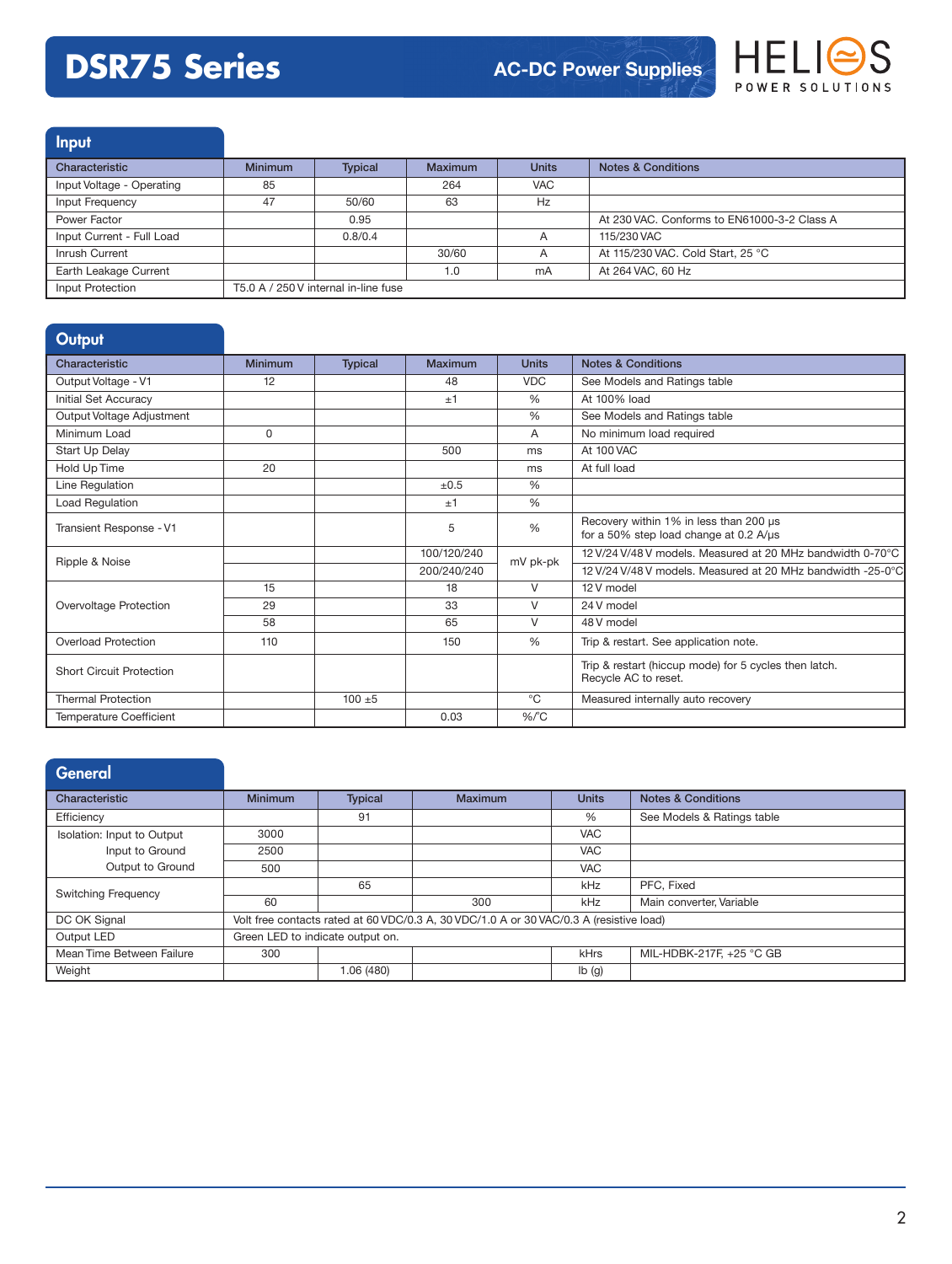# **DSR75 Series**



Input Characteristic **Minimum** Typical Maximum Units Notes & Conditions Input Voltage - Operating 85 85 264 VAC Input Frequency **47** 47 50/60 63 Hz Power Factor **2.2 At 230 VAC. Conforms to EN61000-3-2 Class A** At 230 VAC. Conforms to EN61000-3-2 Class A Input Current - Full Load 0.8/0.4 A 115/230 VAC Inrush Current **30/60** A At 115/230 VAC. Cold Start, 25 °C Earth Leakage Current 1.0 mA At 264 VAC, 60 Hz Input Protection T5.0 A / 250 V internal in-line fuse

#### **Output**

| Characteristic                  | <b>Minimum</b> | <b>Typical</b> | <b>Maximum</b> | <b>Units</b>  | <b>Notes &amp; Conditions</b>                                                    |
|---------------------------------|----------------|----------------|----------------|---------------|----------------------------------------------------------------------------------|
| Output Voltage - V1             | 12             |                | 48             | <b>VDC</b>    | See Models and Ratings table                                                     |
| <b>Initial Set Accuracy</b>     |                |                | ±1             | %             | At 100% load                                                                     |
| Output Voltage Adjustment       |                |                |                | %             | See Models and Ratings table                                                     |
| Minimum Load                    | $\Omega$       |                |                | A             | No minimum load required                                                         |
| Start Up Delay                  |                |                | 500            | ms            | At 100 VAC                                                                       |
| Hold Up Time                    | 20             |                |                | ms            | At full load                                                                     |
| Line Regulation                 |                |                | ±0.5           | $\frac{0}{0}$ |                                                                                  |
| Load Regulation                 |                |                | ±1             | %             |                                                                                  |
| Transient Response - V1         |                |                | 5              | $\frac{0}{0}$ | Recovery within 1% in less than 200 µs<br>for a 50% step load change at 0.2 A/µs |
| Ripple & Noise                  |                |                | 100/120/240    |               | 12 V/24 V/48 V models. Measured at 20 MHz bandwidth 0-70°C                       |
|                                 |                |                | 200/240/240    | mV pk-pk      | 12 V/24 V/48 V models. Measured at 20 MHz bandwidth -25-0°C                      |
|                                 | 15             |                | 18             | $\vee$        | 12 V model                                                                       |
| Overvoltage Protection          | 29             |                | 33             | V             | 24 V model                                                                       |
|                                 | 58             |                | 65             | $\vee$        | 48 V model                                                                       |
| <b>Overload Protection</b>      | 110            |                | 150            | %             | Trip & restart. See application note.                                            |
| <b>Short Circuit Protection</b> |                |                |                |               | Trip & restart (hiccup mode) for 5 cycles then latch.<br>Recycle AC to reset.    |
| <b>Thermal Protection</b>       |                | $100 + 5$      |                | $^{\circ}$ C  | Measured internally auto recovery                                                |
| Temperature Coefficient         |                |                | 0.03           | $%$ $C$       |                                                                                  |

| <b>General</b>             |                                  |                |                                                                                         |                           |                               |
|----------------------------|----------------------------------|----------------|-----------------------------------------------------------------------------------------|---------------------------|-------------------------------|
| Characteristic             | <b>Minimum</b>                   | <b>Typical</b> | Maximum                                                                                 | <b>Units</b>              | <b>Notes &amp; Conditions</b> |
| Efficiency                 |                                  | 91             |                                                                                         | %                         | See Models & Ratings table    |
| Isolation: Input to Output | 3000                             |                |                                                                                         | <b>VAC</b>                |                               |
| Input to Ground            | 2500                             |                |                                                                                         | <b>VAC</b>                |                               |
| Output to Ground           | 500                              |                |                                                                                         | <b>VAC</b>                |                               |
| <b>Switching Frequency</b> |                                  | 65             |                                                                                         | kHz                       | PFC. Fixed                    |
|                            | 60                               |                | 300                                                                                     | kHz                       | Main converter, Variable      |
| DC OK Signal               |                                  |                | Volt free contacts rated at 60 VDC/0.3 A, 30 VDC/1.0 A or 30 VAC/0.3 A (resistive load) |                           |                               |
| Output LED                 | Green LED to indicate output on. |                |                                                                                         |                           |                               |
| Mean Time Between Failure  | 300                              |                |                                                                                         | kHrs                      | MIL-HDBK-217F, +25 °C GB      |
| Weight                     |                                  | 1.06 (480)     |                                                                                         | $\mathsf{lb}(\mathsf{g})$ |                               |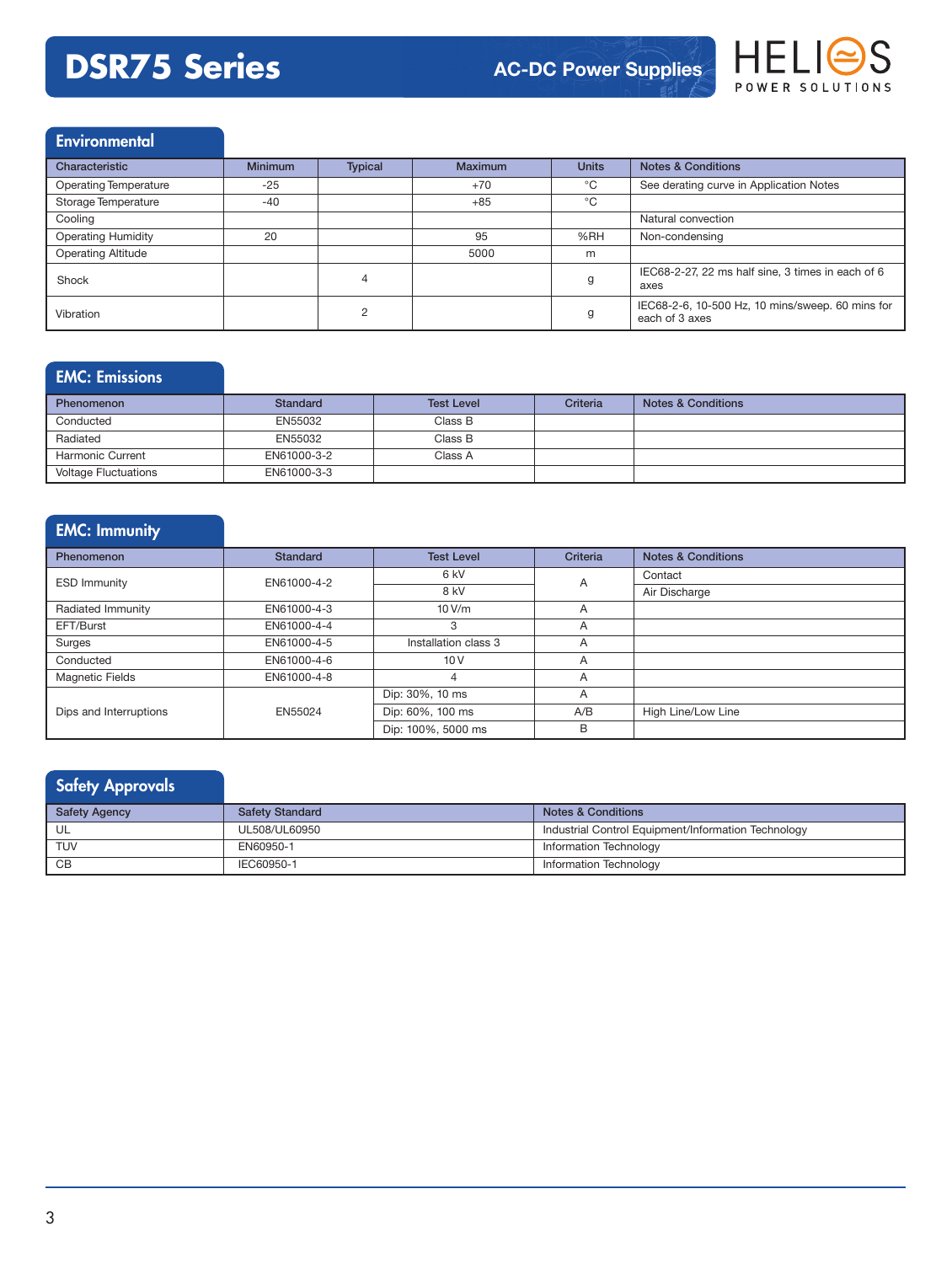# **DSR75 Series AC-DC Power Supplies**



### Environmental

| Characteristic               | <b>Minimum</b> | <b>Typical</b> | <b>Maximum</b> | <b>Units</b> | <b>Notes &amp; Conditions</b>                                      |
|------------------------------|----------------|----------------|----------------|--------------|--------------------------------------------------------------------|
| <b>Operating Temperature</b> | $-25$          |                | $+70$          | °C           | See derating curve in Application Notes                            |
| Storage Temperature          | $-40$          |                | $+85$          | $^{\circ}C$  |                                                                    |
| Cooling                      |                |                |                |              | Natural convection                                                 |
| <b>Operating Humidity</b>    | 20             |                | 95             | %RH          | Non-condensing                                                     |
| <b>Operating Altitude</b>    |                |                | 5000           | m            |                                                                    |
| Shock                        |                | 4              |                | g            | IEC68-2-27, 22 ms half sine, 3 times in each of 6<br>axes          |
| Vibration                    |                | C              |                | g            | IEC68-2-6, 10-500 Hz, 10 mins/sweep. 60 mins for<br>each of 3 axes |

### EMC: Emissions

| <b>Phenomenon</b>           | Standard    | <b>Test Level</b> | Criteria | <b>Notes &amp; Conditions</b> |
|-----------------------------|-------------|-------------------|----------|-------------------------------|
| Conducted                   | EN55032     | Class B           |          |                               |
| Radiated                    | EN55032     | Class B           |          |                               |
| <b>Harmonic Current</b>     | EN61000-3-2 | Class A           |          |                               |
| <b>Voltage Fluctuations</b> | EN61000-3-3 |                   |          |                               |

### EMC: Immunity

| Phenomenon             | <b>Standard</b> | <b>Test Level</b>    | Criteria | <b>Notes &amp; Conditions</b> |
|------------------------|-----------------|----------------------|----------|-------------------------------|
| <b>ESD Immunity</b>    | EN61000-4-2     | 6 kV                 | Α        | Contact                       |
|                        |                 | 8 kV                 |          | Air Discharge                 |
| Radiated Immunity      | EN61000-4-3     | 10V/m                | A        |                               |
| EFT/Burst              | EN61000-4-4     | 3                    | A        |                               |
| Surges                 | EN61000-4-5     | Installation class 3 | A        |                               |
| Conducted              | EN61000-4-6     | 10V                  | A        |                               |
| <b>Magnetic Fields</b> | EN61000-4-8     |                      | A        |                               |
|                        |                 | Dip: 30%, 10 ms      | A        |                               |
| Dips and Interruptions | EN55024         | Dip: 60%, 100 ms     | A/B      | High Line/Low Line            |
|                        |                 | Dip: 100%, 5000 ms   | B        |                               |

## Safety Approvals

| <b>Safety Agency</b> | <b>Safety Standard</b> | <b>Notes &amp; Conditions</b>                       |
|----------------------|------------------------|-----------------------------------------------------|
|                      | UL508/UL60950          | Industrial Control Equipment/Information Technology |
| <b>TUV</b>           | EN60950-1              | Information Technology                              |
| CB                   | IEC60950-1             | Information Technology                              |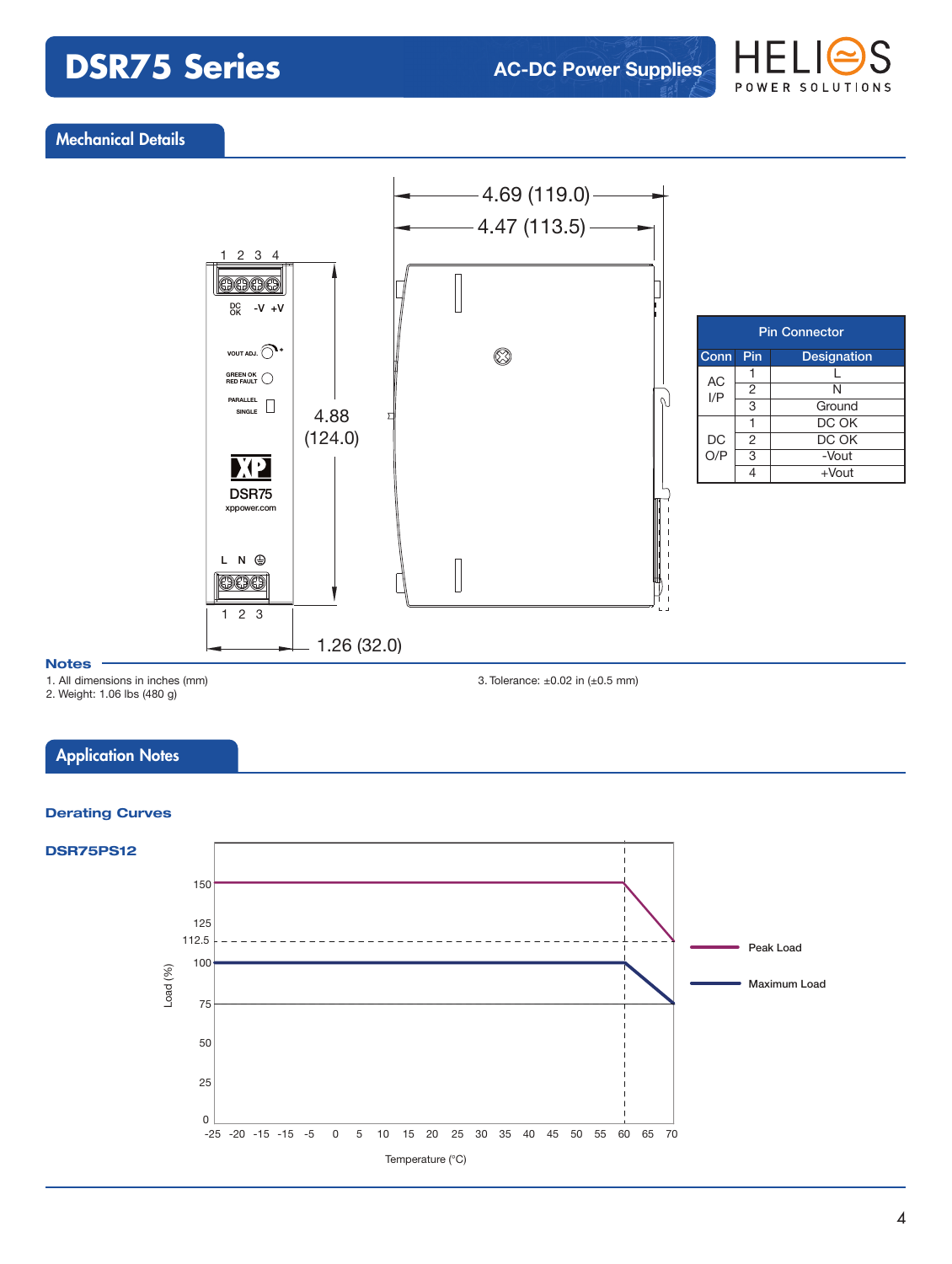# **DSR75 Series**



#### Mechanical Details



#### **Notes**

1. All dimensions in inches (mm)

2. Weight: 1.06 lbs (480 g)

3. Tolerance: ±0.02 in (±0.5 mm)

#### **Application Notes**

#### **Derating Curves**

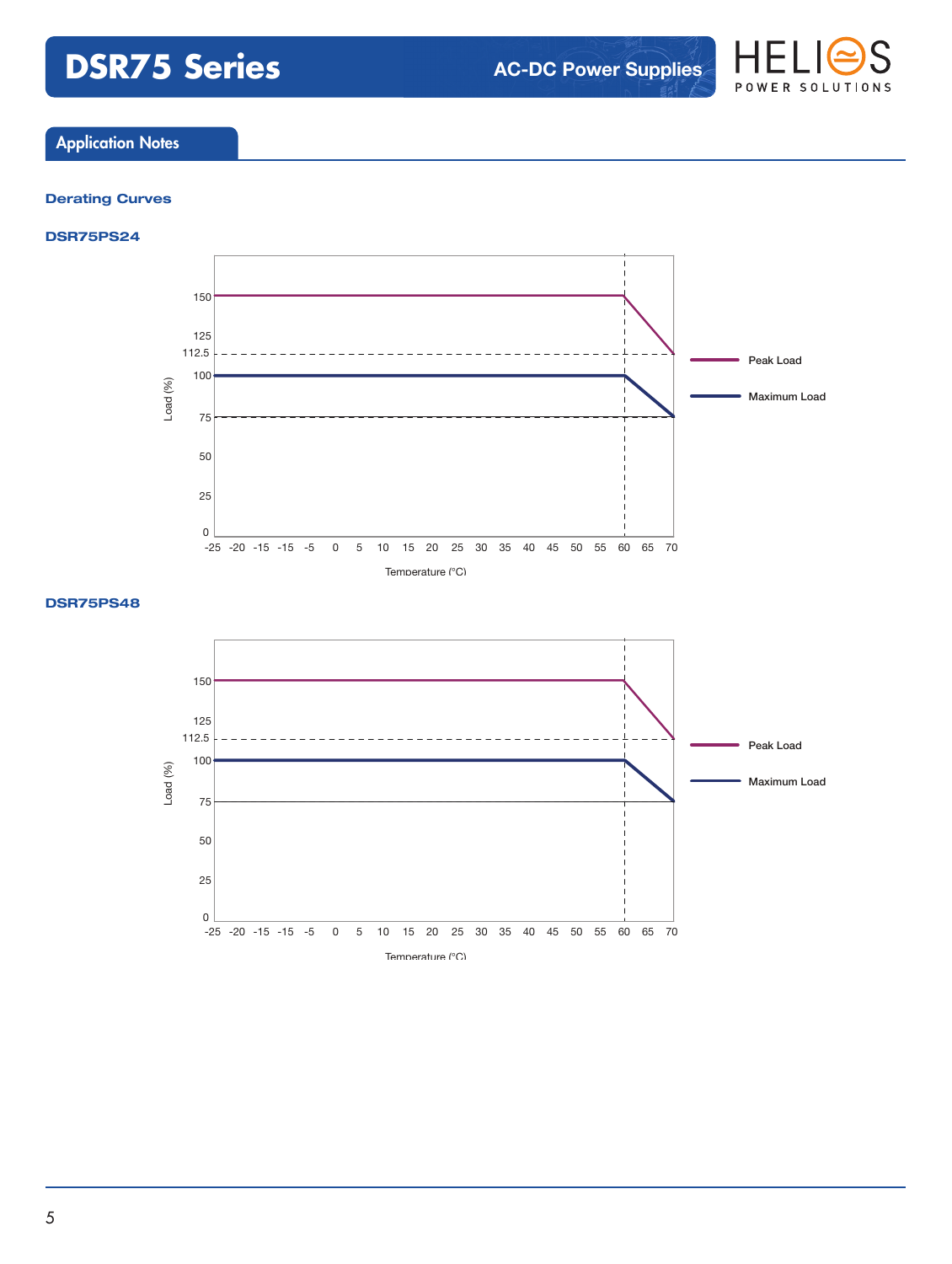# **DSR75 Series AC-DC Power Supplies**



### Application Notes

#### **Derating Curves**

#### **DSR75PS24**



#### **DSR75PS48**